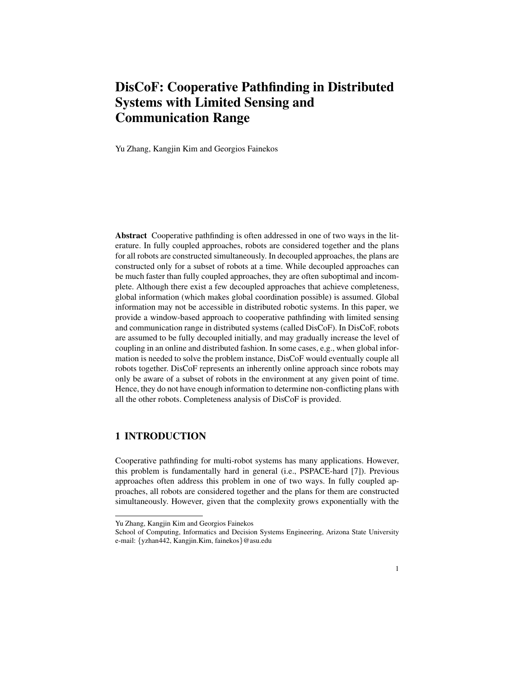# DisCoF: Cooperative Pathfinding in Distributed Systems with Limited Sensing and Communication Range

Yu Zhang, Kangjin Kim and Georgios Fainekos

Abstract Cooperative pathfinding is often addressed in one of two ways in the literature. In fully coupled approaches, robots are considered together and the plans for all robots are constructed simultaneously. In decoupled approaches, the plans are constructed only for a subset of robots at a time. While decoupled approaches can be much faster than fully coupled approaches, they are often suboptimal and incomplete. Although there exist a few decoupled approaches that achieve completeness, global information (which makes global coordination possible) is assumed. Global information may not be accessible in distributed robotic systems. In this paper, we provide a window-based approach to cooperative pathfinding with limited sensing and communication range in distributed systems (called DisCoF). In DisCoF, robots are assumed to be fully decoupled initially, and may gradually increase the level of coupling in an online and distributed fashion. In some cases, e.g., when global information is needed to solve the problem instance, DisCoF would eventually couple all robots together. DisCoF represents an inherently online approach since robots may only be aware of a subset of robots in the environment at any given point of time. Hence, they do not have enough information to determine non-conflicting plans with all the other robots. Completeness analysis of DisCoF is provided.

## 1 INTRODUCTION

Cooperative pathfinding for multi-robot systems has many applications. However, this problem is fundamentally hard in general (i.e., PSPACE-hard [7]). Previous approaches often address this problem in one of two ways. In fully coupled approaches, all robots are considered together and the plans for them are constructed simultaneously. However, given that the complexity grows exponentially with the

Yu Zhang, Kangjin Kim and Georgios Fainekos

School of Computing, Informatics and Decision Systems Engineering, Arizona State University e-mail: {yzhan442, Kangjin.Kim, fainekos}@asu.edu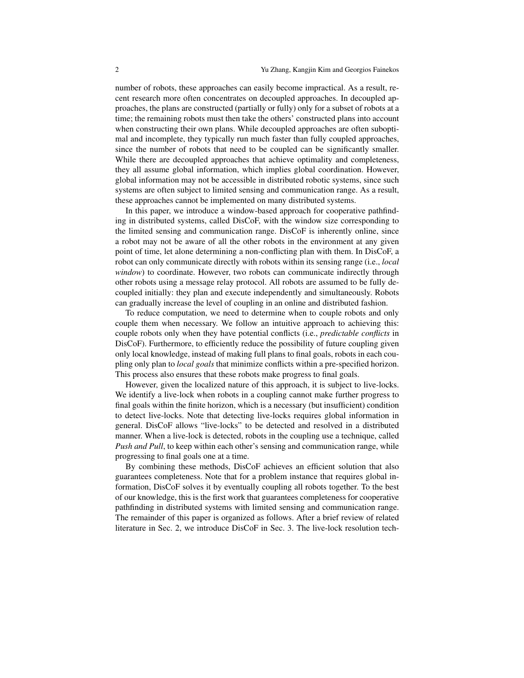number of robots, these approaches can easily become impractical. As a result, recent research more often concentrates on decoupled approaches. In decoupled approaches, the plans are constructed (partially or fully) only for a subset of robots at a time; the remaining robots must then take the others' constructed plans into account when constructing their own plans. While decoupled approaches are often suboptimal and incomplete, they typically run much faster than fully coupled approaches, since the number of robots that need to be coupled can be significantly smaller. While there are decoupled approaches that achieve optimality and completeness, they all assume global information, which implies global coordination. However, global information may not be accessible in distributed robotic systems, since such systems are often subject to limited sensing and communication range. As a result, these approaches cannot be implemented on many distributed systems.

In this paper, we introduce a window-based approach for cooperative pathfinding in distributed systems, called DisCoF, with the window size corresponding to the limited sensing and communication range. DisCoF is inherently online, since a robot may not be aware of all the other robots in the environment at any given point of time, let alone determining a non-conflicting plan with them. In DisCoF, a robot can only communicate directly with robots within its sensing range (i.e., *local window*) to coordinate. However, two robots can communicate indirectly through other robots using a message relay protocol. All robots are assumed to be fully decoupled initially: they plan and execute independently and simultaneously. Robots can gradually increase the level of coupling in an online and distributed fashion.

To reduce computation, we need to determine when to couple robots and only couple them when necessary. We follow an intuitive approach to achieving this: couple robots only when they have potential conflicts (i.e., *predictable conflicts* in DisCoF). Furthermore, to efficiently reduce the possibility of future coupling given only local knowledge, instead of making full plans to final goals, robots in each coupling only plan to *local goals* that minimize conflicts within a pre-specified horizon. This process also ensures that these robots make progress to final goals.

However, given the localized nature of this approach, it is subject to live-locks. We identify a live-lock when robots in a coupling cannot make further progress to final goals within the finite horizon, which is a necessary (but insufficient) condition to detect live-locks. Note that detecting live-locks requires global information in general. DisCoF allows "live-locks" to be detected and resolved in a distributed manner. When a live-lock is detected, robots in the coupling use a technique, called *Push and Pull*, to keep within each other's sensing and communication range, while progressing to final goals one at a time.

By combining these methods, DisCoF achieves an efficient solution that also guarantees completeness. Note that for a problem instance that requires global information, DisCoF solves it by eventually coupling all robots together. To the best of our knowledge, this is the first work that guarantees completeness for cooperative pathfinding in distributed systems with limited sensing and communication range. The remainder of this paper is organized as follows. After a brief review of related literature in Sec. 2, we introduce DisCoF in Sec. 3. The live-lock resolution tech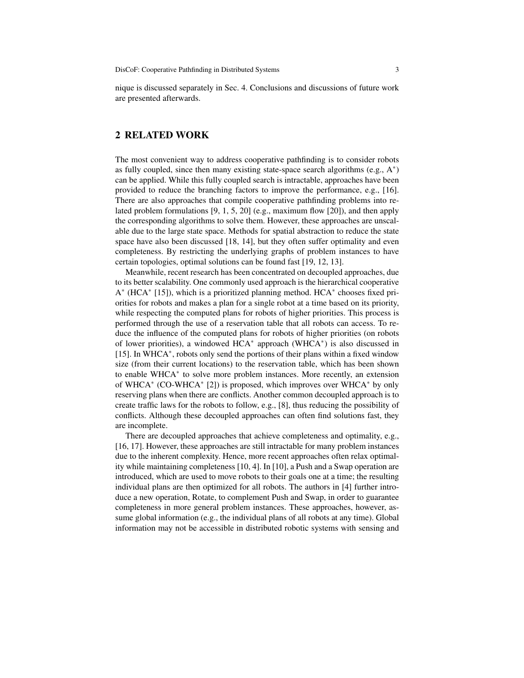nique is discussed separately in Sec. 4. Conclusions and discussions of future work are presented afterwards.

## 2 RELATED WORK

The most convenient way to address cooperative pathfinding is to consider robots as fully coupled, since then many existing state-space search algorithms (e.g., A<sup>\*</sup>) can be applied. While this fully coupled search is intractable, approaches have been provided to reduce the branching factors to improve the performance, e.g., [16]. There are also approaches that compile cooperative pathfinding problems into related problem formulations [9, 1, 5, 20] (e.g., maximum flow [20]), and then apply the corresponding algorithms to solve them. However, these approaches are unscalable due to the large state space. Methods for spatial abstraction to reduce the state space have also been discussed [18, 14], but they often suffer optimality and even completeness. By restricting the underlying graphs of problem instances to have certain topologies, optimal solutions can be found fast [19, 12, 13].

Meanwhile, recent research has been concentrated on decoupled approaches, due to its better scalability. One commonly used approach is the hierarchical cooperative A<sup>\*</sup> (HCA<sup>\*</sup> [15]), which is a prioritized planning method. HCA<sup>\*</sup> chooses fixed priorities for robots and makes a plan for a single robot at a time based on its priority, while respecting the computed plans for robots of higher priorities. This process is performed through the use of a reservation table that all robots can access. To reduce the influence of the computed plans for robots of higher priorities (on robots of lower priorities), a windowed HCA<sup>∗</sup> approach (WHCA<sup>∗</sup> ) is also discussed in [15]. In WHCA\*, robots only send the portions of their plans within a fixed window size (from their current locations) to the reservation table, which has been shown to enable WHCA<sup>\*</sup> to solve more problem instances. More recently, an extension of WHCA<sup>∗</sup> (CO-WHCA<sup>∗</sup> [2]) is proposed, which improves over WHCA<sup>∗</sup> by only reserving plans when there are conflicts. Another common decoupled approach is to create traffic laws for the robots to follow, e.g., [8], thus reducing the possibility of conflicts. Although these decoupled approaches can often find solutions fast, they are incomplete.

There are decoupled approaches that achieve completeness and optimality, e.g., [16, 17]. However, these approaches are still intractable for many problem instances due to the inherent complexity. Hence, more recent approaches often relax optimality while maintaining completeness [10, 4]. In [10], a Push and a Swap operation are introduced, which are used to move robots to their goals one at a time; the resulting individual plans are then optimized for all robots. The authors in [4] further introduce a new operation, Rotate, to complement Push and Swap, in order to guarantee completeness in more general problem instances. These approaches, however, assume global information (e.g., the individual plans of all robots at any time). Global information may not be accessible in distributed robotic systems with sensing and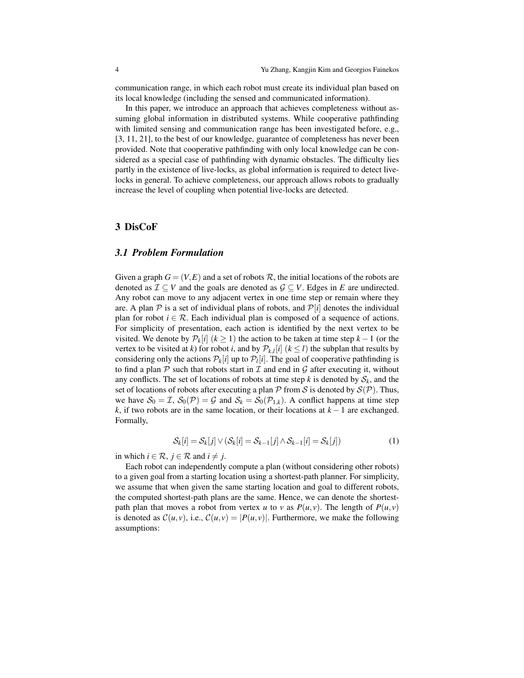communication range, in which each robot must create its individual plan based on its local knowledge (including the sensed and communicated information).

In this paper, we introduce an approach that achieves completeness without assuming global information in distributed systems. While cooperative pathfinding with limited sensing and communication range has been investigated before, e.g., [3, 11, 21], to the best of our knowledge, guarantee of completeness has never been provided. Note that cooperative pathfinding with only local knowledge can be considered as a special case of pathfinding with dynamic obstacles. The difficulty lies partly in the existence of live-locks, as global information is required to detect livelocks in general. To achieve completeness, our approach allows robots to gradually increase the level of coupling when potential live-locks are detected.

#### 3 DisCoF

#### *3.1 Problem Formulation*

Given a graph  $G = (V, E)$  and a set of robots R, the initial locations of the robots are denoted as  $\mathcal{I} \subseteq V$  and the goals are denoted as  $\mathcal{G} \subseteq V$ . Edges in *E* are undirected. Any robot can move to any adjacent vertex in one time step or remain where they are. A plan  $P$  is a set of individual plans of robots, and  $P[i]$  denotes the individual plan for robot  $i \in \mathcal{R}$ . Each individual plan is composed of a sequence of actions. For simplicity of presentation, each action is identified by the next vertex to be visited. We denote by  $P_k[i]$  ( $k \geq 1$ ) the action to be taken at time step  $k - 1$  (or the vertex to be visited at *k*) for robot *i*, and by  $\mathcal{P}_{k,l}[i]$  ( $k \leq l$ ) the subplan that results by considering only the actions  $\mathcal{P}_k[i]$  up to  $\mathcal{P}_l[i]$ . The goal of cooperative pathfinding is to find a plan  $P$  such that robots start in  $I$  and end in  $G$  after executing it, without any conflicts. The set of locations of robots at time step  $k$  is denoted by  $S_k$ , and the set of locations of robots after executing a plan  $P$  from  $S$  is denoted by  $S(P)$ . Thus, we have  $S_0 = \mathcal{I}, S_0(\mathcal{P}) = \mathcal{G}$  and  $S_k = S_0(\mathcal{P}_{1,k})$ . A conflict happens at time step *k*, if two robots are in the same location, or their locations at  $k - 1$  are exchanged. Formally,

$$
\mathcal{S}_k[i] = \mathcal{S}_k[j] \vee (\mathcal{S}_k[i] = \mathcal{S}_{k-1}[j] \wedge \mathcal{S}_{k-1}[i] = \mathcal{S}_k[j])
$$
\n(1)

in which  $i \in \mathcal{R}$ ,  $j \in \mathcal{R}$  and  $i \neq j$ .

Each robot can independently compute a plan (without considering other robots) to a given goal from a starting location using a shortest-path planner. For simplicity, we assume that when given the same starting location and goal to different robots, the computed shortest-path plans are the same. Hence, we can denote the shortestpath plan that moves a robot from vertex *u* to *v* as  $P(u, v)$ . The length of  $P(u, v)$ is denoted as  $C(u, v)$ , i.e.,  $C(u, v) = |P(u, v)|$ . Furthermore, we make the following assumptions: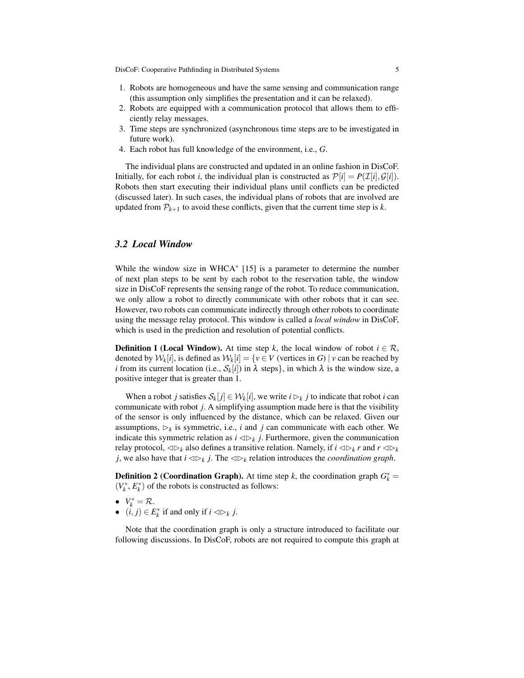DisCoF: Cooperative Pathfinding in Distributed Systems 5

- 1. Robots are homogeneous and have the same sensing and communication range (this assumption only simplifies the presentation and it can be relaxed).
- 2. Robots are equipped with a communication protocol that allows them to efficiently relay messages.
- 3. Time steps are synchronized (asynchronous time steps are to be investigated in future work).
- 4. Each robot has full knowledge of the environment, i.e., *G*.

The individual plans are constructed and updated in an online fashion in DisCoF. Initially, for each robot *i*, the individual plan is constructed as  $\mathcal{P}[i] = P(\mathcal{I}[i], \mathcal{G}[i])$ . Robots then start executing their individual plans until conflicts can be predicted (discussed later). In such cases, the individual plans of robots that are involved are updated from  $\mathcal{P}_{k+1}$  to avoid these conflicts, given that the current time step is *k*.

## *3.2 Local Window*

While the window size in WHCA<sup>∗</sup> [15] is a parameter to determine the number of next plan steps to be sent by each robot to the reservation table, the window size in DisCoF represents the sensing range of the robot. To reduce communication, we only allow a robot to directly communicate with other robots that it can see. However, two robots can communicate indirectly through other robots to coordinate using the message relay protocol. This window is called a *local window* in DisCoF, which is used in the prediction and resolution of potential conflicts.

**Definition 1 (Local Window).** At time step *k*, the local window of robot  $i \in \mathcal{R}$ , denoted by  $W_k[i]$ , is defined as  $W_k[i] = \{v \in V \text{ (vertices in } G) \mid v \text{ can be reached by }$ *i* from its current location (i.e.,  $S_k[i]$ ) in  $\lambda$  steps}, in which  $\lambda$  is the window size, a positive integer that is greater than 1.

When a robot *j* satisfies  $S_k[j] \in W_k[i]$ , we write  $i \rhd_k j$  to indicate that robot *i* can communicate with robot *j*. A simplifying assumption made here is that the visibility of the sensor is only influenced by the distance, which can be relaxed. Given our assumptions,  $\triangleright_k$  is symmetric, i.e., *i* and *j* can communicate with each other. We indicate this symmetric relation as  $i \triangleleft \triangleright_k j$ . Furthermore, given the communication relay protocol,  $\langle \Box \rangle_k$  also defines a transitive relation. Namely, if  $i \langle \Box \rangle_k r$  and  $r \langle \Box \rangle_k$ *j*, we also have that  $i \triangleleft \triangleright_k j$ . The  $\triangleleft \triangleright_k$  relation introduces the *coordination graph*.

**Definition 2 (Coordination Graph).** At time step *k*, the coordination graph  $G_k^* =$  $(V_k^*, E_k^*)$  of the robots is constructed as follows:

- $V_k^* = \mathcal{R}$ .
- $(i, j) \in E_k^*$  if and only if  $i \le k \ne j$ .

Note that the coordination graph is only a structure introduced to facilitate our following discussions. In DisCoF, robots are not required to compute this graph at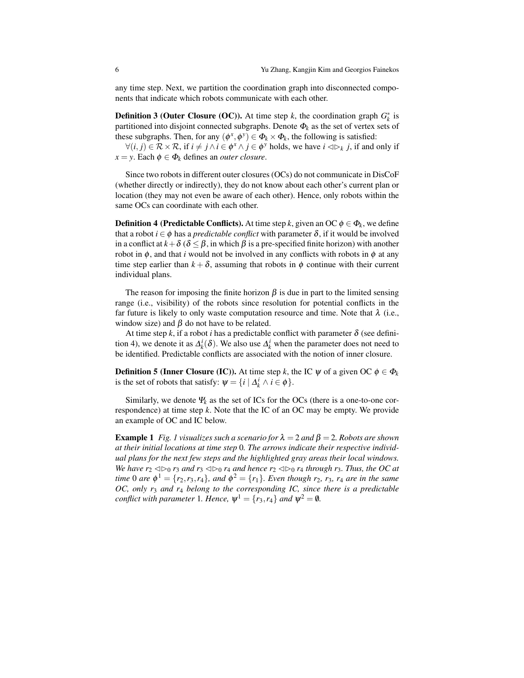any time step. Next, we partition the coordination graph into disconnected components that indicate which robots communicate with each other.

**Definition 3 (Outer Closure (OC)).** At time step *k*, the coordination graph  $G_k^*$  is partitioned into disjoint connected subgraphs. Denote  $\Phi_k$  as the set of vertex sets of these subgraphs. Then, for any  $(\phi^x, \phi^y) \in \Phi_k \times \Phi_k$ , the following is satisfied:

 $\forall (i, j) \in \mathcal{R} \times \mathcal{R}$ , if  $i \neq j \land i \in \phi^x \land j \in \phi^y$  holds, we have  $i \triangleleft \triangleright_k j$ , if and only if  $x = y$ . Each  $\phi \in \Phi_k$  defines an *outer closure*.

Since two robots in different outer closures (OCs) do not communicate in DisCoF (whether directly or indirectly), they do not know about each other's current plan or location (they may not even be aware of each other). Hence, only robots within the same OCs can coordinate with each other.

**Definition 4 (Predictable Conflicts).** At time step *k*, given an OC  $\phi \in \Phi_k$ , we define that a robot  $i \in \phi$  has a *predictable conflict* with parameter  $\delta$ , if it would be involved in a conflict at  $k+\delta$  ( $\delta \leq \beta$ , in which  $\beta$  is a pre-specified finite horizon) with another robot in  $\phi$ , and that *i* would not be involved in any conflicts with robots in  $\phi$  at any time step earlier than  $k + \delta$ , assuming that robots in  $\phi$  continue with their current individual plans.

The reason for imposing the finite horizon  $\beta$  is due in part to the limited sensing range (i.e., visibility) of the robots since resolution for potential conflicts in the far future is likely to only waste computation resource and time. Note that  $\lambda$  (i.e., window size) and  $\beta$  do not have to be related.

At time step  $k$ , if a robot *i* has a predictable conflict with parameter  $\delta$  (see definition 4), we denote it as  $\Delta_k^i(\delta)$ . We also use  $\Delta_k^i$  when the parameter does not need to be identified. Predictable conflicts are associated with the notion of inner closure.

**Definition 5 (Inner Closure (IC)).** At time step *k*, the IC  $\psi$  of a given OC  $\phi \in \Phi_k$ is the set of robots that satisfy:  $\psi = \{i \mid \Delta_k^i \wedge i \in \phi\}.$ 

Similarly, we denote  $\Psi_k$  as the set of ICs for the OCs (there is a one-to-one correspondence) at time step *k*. Note that the IC of an OC may be empty. We provide an example of OC and IC below.

**Example 1** *Fig. 1 visualizes such a scenario for*  $\lambda = 2$  *and*  $\beta = 2$ *. Robots are shown at their initial locations at time step* 0*. The arrows indicate their respective individual plans for the next few steps and the highlighted gray areas their local windows. We have*  $r_2 \triangleleft \triangleright_0 r_3$  *and*  $r_3 \triangleleft \triangleright_0 r_4$  *and hence*  $r_2 \triangleleft \triangleright_0 r_4$  *through*  $r_3$ *. Thus, the OC at time* 0 *are*  $\phi$ <sup>1</sup> = {*r*<sub>2</sub>,*r*<sub>3</sub>,*r*<sub>4</sub>}*, and*  $\phi$ <sup>2</sup> = {*r*<sub>1</sub>}*. Even though r*<sub>2</sub>*, r*<sub>3</sub>*, r*<sub>4</sub> *are in the same OC, only r*<sup>3</sup> *and r*<sup>4</sup> *belong to the corresponding IC, since there is a predictable conflict with parameter* 1. Hence,  $\psi^1 = \{r_3, r_4\}$  and  $\psi^2 = \emptyset$ .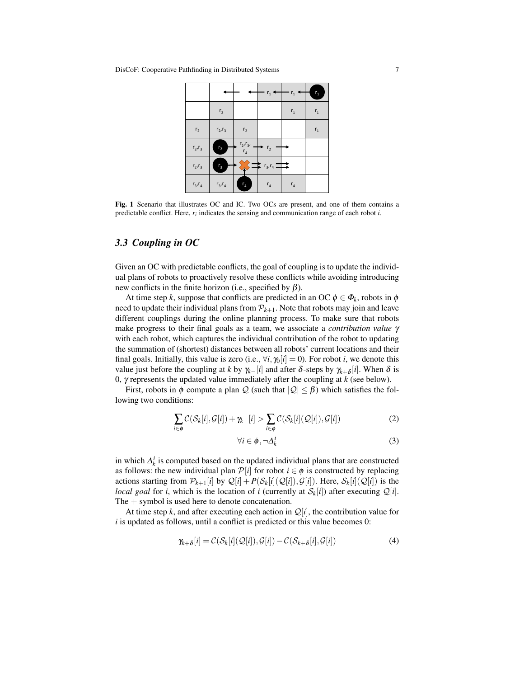|                |                   |                       | $r_1$                                                                            | $r_1$          | $\mathsf{r}_1$          |
|----------------|-------------------|-----------------------|----------------------------------------------------------------------------------|----------------|-------------------------|
|                | r <sub>2</sub>    |                       |                                                                                  | $\mathsf{r}_1$ | $\mathsf{r}_1$          |
| r <sub>2</sub> | $r_{2}$ , $r_{3}$ | r <sub>2</sub>        |                                                                                  |                | $\mathsf{r}_\mathsf{1}$ |
| $r_2,r_3$      | r <sub>2</sub>    | $\frac{r_2,r_3}{r_4}$ | r <sub>2</sub>                                                                   |                |                         |
| $r_2,r_3$      | $r_3$             |                       | $\overline{\mathcal{F}}$ r <sub>3</sub> ,r <sub>4</sub> $\overline{\mathcal{F}}$ |                |                         |
| $r_3$ , $r_4$  | $r_3$ , $r_4$     | $r_4$                 | r <sub>4</sub>                                                                   | r <sub>4</sub> |                         |

Fig. 1 Scenario that illustrates OC and IC. Two OCs are present, and one of them contains a predictable conflict. Here,  $r_i$  indicates the sensing and communication range of each robot *i*.

## *3.3 Coupling in OC*

Given an OC with predictable conflicts, the goal of coupling is to update the individual plans of robots to proactively resolve these conflicts while avoiding introducing new conflicts in the finite horizon (i.e., specified by  $\beta$ ).

At time step *k*, suppose that conflicts are predicted in an OC  $\phi \in \Phi_k$ , robots in  $\phi$ need to update their individual plans from  $P_{k+1}$ . Note that robots may join and leave different couplings during the online planning process. To make sure that robots make progress to their final goals as a team, we associate a *contribution value* γ with each robot, which captures the individual contribution of the robot to updating the summation of (shortest) distances between all robots' current locations and their final goals. Initially, this value is zero (i.e.,  $\forall i, \gamma_0[i] = 0$ ). For robot *i*, we denote this value just before the coupling at *k* by  $\gamma_{k-}[i]$  and after  $\delta$ -steps by  $\gamma_{k+|\delta}[i]$ . When  $\delta$  is 0, γ represents the updated value immediately after the coupling at *k* (see below).

First, robots in  $\phi$  compute a plan  $\mathcal Q$  (such that  $|\mathcal Q| \leq \beta$ ) which satisfies the following two conditions:

$$
\sum_{i \in \phi} C(S_k[i], \mathcal{G}[i]) + \gamma_{k-}[i] > \sum_{i \in \phi} C(S_k[i](\mathcal{Q}[i]), \mathcal{G}[i]) \tag{2}
$$

$$
\forall i \in \phi, \neg \Delta_k^i \tag{3}
$$

in which  $\Delta_k^i$  is computed based on the updated individual plans that are constructed as follows: the new individual plan  $\mathcal{P}[i]$  for robot  $i \in \phi$  is constructed by replacing actions starting from  $\mathcal{P}_{k+1}[i]$  by  $\mathcal{Q}[i] + P(\mathcal{S}_k[i](\mathcal{Q}[i]), \mathcal{G}[i])$ . Here,  $\mathcal{S}_k[i](\mathcal{Q}[i])$  is the *local goal* for *i*, which is the location of *i* (currently at  $S_k[i]$ ) after executing  $Q[i]$ . The  $+$  symbol is used here to denote concatenation.

At time step  $k$ , and after executing each action in  $\mathcal{Q}[i]$ , the contribution value for *i* is updated as follows, until a conflict is predicted or this value becomes 0:

$$
\gamma_{k+\delta}[i] = \mathcal{C}(\mathcal{S}_k[i](\mathcal{Q}[i]), \mathcal{G}[i]) - \mathcal{C}(\mathcal{S}_{k+\delta}[i], \mathcal{G}[i])
$$
\n(4)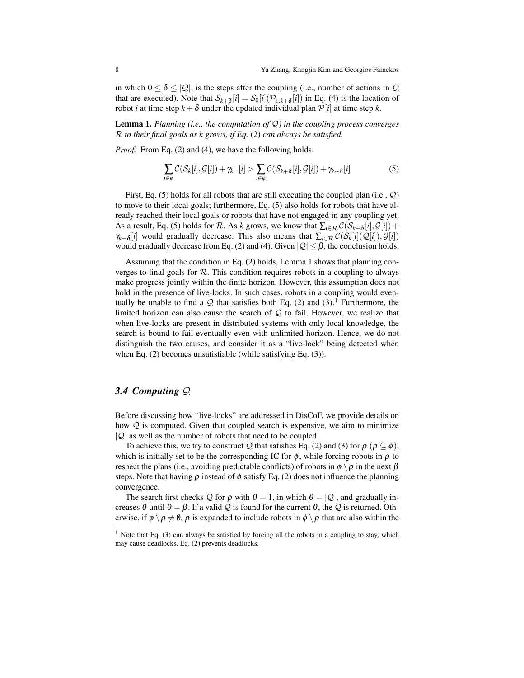in which  $0 \le \delta \le |Q|$ , is the steps after the coupling (i.e., number of actions in Q that are executed). Note that  $S_{k+\delta}[i] = S_0[i](\mathcal{P}_{1,k+\delta}[i])$  in Eq. (4) is the location of robot *i* at time step  $k + \delta$  under the updated individual plan  $\mathcal{P}[i]$  at time step *k*.

Lemma 1. *Planning (i.e., the computation of* Q*) in the coupling process converges* R *to their final goals as k grows, if Eq.* (2) *can always be satisfied.*

*Proof.* From Eq. (2) and (4), we have the following holds:

$$
\sum_{i \in \phi} C(S_k[i], \mathcal{G}[i]) + \gamma_{k-}[i] > \sum_{i \in \phi} C(S_{k+\delta}[i], \mathcal{G}[i]) + \gamma_{k+\delta}[i]
$$
(5)

First, Eq. (5) holds for all robots that are still executing the coupled plan (i.e.,  $Q$ ) to move to their local goals; furthermore, Eq. (5) also holds for robots that have already reached their local goals or robots that have not engaged in any coupling yet. As a result, Eq. (5) holds for R. As *k* grows, we know that  $\sum_{i \in \mathcal{R}} C(\mathcal{S}_{k+\delta}[i], \mathcal{G}[i])$  +  $\gamma_{k+\delta}[i]$  would gradually decrease. This also means that  $\sum_{i \in \mathcal{R}} C(\mathcal{S}_k[i](\mathcal{Q}[i]), \mathcal{G}[i])$ would gradually decrease from Eq. (2) and (4). Given  $|Q| \leq \beta$ , the conclusion holds.

Assuming that the condition in Eq. (2) holds, Lemma 1 shows that planning converges to final goals for  $R$ . This condition requires robots in a coupling to always make progress jointly within the finite horizon. However, this assumption does not hold in the presence of live-locks. In such cases, robots in a coupling would eventually be unable to find a  $Q$  that satisfies both Eq. (2) and (3).<sup>1</sup> Furthermore, the limited horizon can also cause the search of  $Q$  to fail. However, we realize that when live-locks are present in distributed systems with only local knowledge, the search is bound to fail eventually even with unlimited horizon. Hence, we do not distinguish the two causes, and consider it as a "live-lock" being detected when when Eq. (2) becomes unsatisfiable (while satisfying Eq. (3)).

## *3.4 Computing* Q

Before discussing how "live-locks" are addressed in DisCoF, we provide details on how  $Q$  is computed. Given that coupled search is expensive, we aim to minimize  $|Q|$  as well as the number of robots that need to be coupled.

To achieve this, we try to construct Q that satisfies Eq. (2) and (3) for  $\rho$  ( $\rho \subseteq \phi$ ), which is initially set to be the corresponding IC for  $\phi$ , while forcing robots in  $\rho$  to respect the plans (i.e., avoiding predictable conflicts) of robots in  $\phi \setminus \rho$  in the next  $\beta$ steps. Note that having  $\rho$  instead of  $\phi$  satisfy Eq. (2) does not influence the planning convergence.

The search first checks Q for  $\rho$  with  $\theta = 1$ , in which  $\theta = |Q|$ , and gradually increases  $\theta$  until  $\theta = \beta$ . If a valid  $\mathcal Q$  is found for the current  $\theta$ , the  $\mathcal Q$  is returned. Otherwise, if  $\phi \setminus \rho \neq \emptyset$ ,  $\rho$  is expanded to include robots in  $\phi \setminus \rho$  that are also within the

<sup>&</sup>lt;sup>1</sup> Note that Eq. (3) can always be satisfied by forcing all the robots in a coupling to stay, which may cause deadlocks. Eq. (2) prevents deadlocks.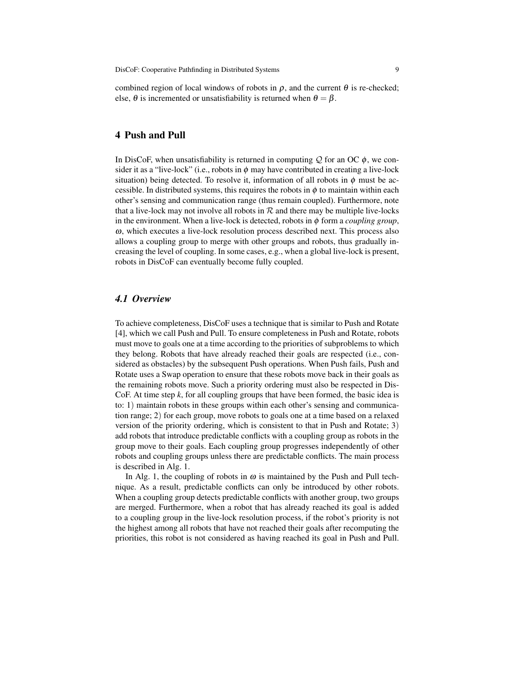combined region of local windows of robots in  $\rho$ , and the current  $\theta$  is re-checked; else,  $\theta$  is incremented or unsatisfiability is returned when  $\theta = \beta$ .

#### 4 Push and Pull

In DisCoF, when unsatisfiability is returned in computing  $Q$  for an OC  $\phi$ , we consider it as a "live-lock" (i.e., robots in  $\phi$  may have contributed in creating a live-lock situation) being detected. To resolve it, information of all robots in  $\phi$  must be accessible. In distributed systems, this requires the robots in  $\phi$  to maintain within each other's sensing and communication range (thus remain coupled). Furthermore, note that a live-lock may not involve all robots in  $R$  and there may be multiple live-locks in the environment. When a live-lock is detected, robots in  $\phi$  form a *coupling group*, ω, which executes a live-lock resolution process described next. This process also allows a coupling group to merge with other groups and robots, thus gradually increasing the level of coupling. In some cases, e.g., when a global live-lock is present, robots in DisCoF can eventually become fully coupled.

#### *4.1 Overview*

To achieve completeness, DisCoF uses a technique that is similar to Push and Rotate [4], which we call Push and Pull. To ensure completeness in Push and Rotate, robots must move to goals one at a time according to the priorities of subproblems to which they belong. Robots that have already reached their goals are respected (i.e., considered as obstacles) by the subsequent Push operations. When Push fails, Push and Rotate uses a Swap operation to ensure that these robots move back in their goals as the remaining robots move. Such a priority ordering must also be respected in Dis-CoF. At time step  $k$ , for all coupling groups that have been formed, the basic idea is to: 1) maintain robots in these groups within each other's sensing and communication range; 2) for each group, move robots to goals one at a time based on a relaxed version of the priority ordering, which is consistent to that in Push and Rotate; 3) add robots that introduce predictable conflicts with a coupling group as robots in the group move to their goals. Each coupling group progresses independently of other robots and coupling groups unless there are predictable conflicts. The main process is described in Alg. 1.

In Alg. 1, the coupling of robots in  $\omega$  is maintained by the Push and Pull technique. As a result, predictable conflicts can only be introduced by other robots. When a coupling group detects predictable conflicts with another group, two groups are merged. Furthermore, when a robot that has already reached its goal is added to a coupling group in the live-lock resolution process, if the robot's priority is not the highest among all robots that have not reached their goals after recomputing the priorities, this robot is not considered as having reached its goal in Push and Pull.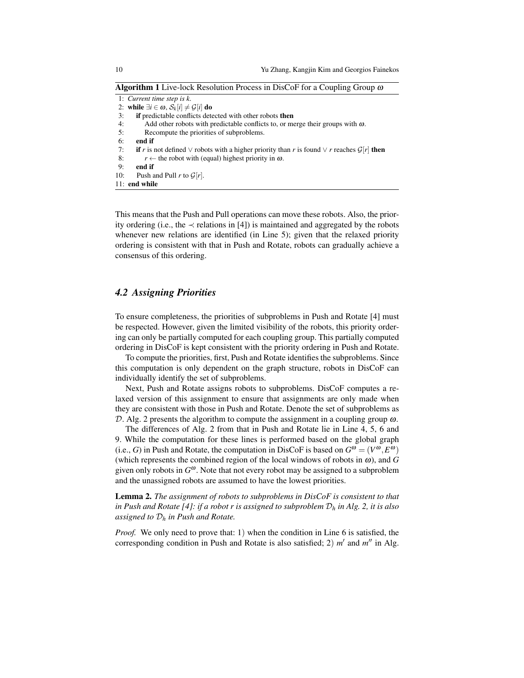**Algorithm 1** Live-lock Resolution Process in DisCoF for a Coupling Group  $\omega$ 

1: *Current time step is k.* 2: while  $∃i ∈ ∞$ ,  $S_k[i] ≠ G[i]$  do 3: if predictable conflicts detected with other robots then 4: Add other robots with predictable conflicts to, or merge their groups with  $\omega$ .<br>5: Recompute the priorities of subproblems. Recompute the priorities of subproblems. 6: end if 7: **if** *r* is not defined  $\vee$  robots with a higher priority than *r* is found  $\vee$  *r* reaches  $\mathcal{G}[r]$  then 8:  $r \leftarrow$  the robot with (equal) highest priority in  $\omega$ . 9: end if 10: Push and Pull *r* to  $\mathcal{G}[r]$ . 11: end while

This means that the Push and Pull operations can move these robots. Also, the priority ordering (i.e., the  $\prec$  relations in [4]) is maintained and aggregated by the robots whenever new relations are identified (in Line 5); given that the relaxed priority ordering is consistent with that in Push and Rotate, robots can gradually achieve a consensus of this ordering.

## *4.2 Assigning Priorities*

To ensure completeness, the priorities of subproblems in Push and Rotate [4] must be respected. However, given the limited visibility of the robots, this priority ordering can only be partially computed for each coupling group. This partially computed ordering in DisCoF is kept consistent with the priority ordering in Push and Rotate.

To compute the priorities, first, Push and Rotate identifies the subproblems. Since this computation is only dependent on the graph structure, robots in DisCoF can individually identify the set of subproblems.

Next, Push and Rotate assigns robots to subproblems. DisCoF computes a relaxed version of this assignment to ensure that assignments are only made when they are consistent with those in Push and Rotate. Denote the set of subproblems as D. Alg. 2 presents the algorithm to compute the assignment in a coupling group  $\omega$ .

The differences of Alg. 2 from that in Push and Rotate lie in Line 4, 5, 6 and 9. While the computation for these lines is performed based on the global graph (i.e., *G*) in Push and Rotate, the computation in DisCoF is based on  $G^{\omega} = (V^{\omega}, E^{\omega})$ (which represents the combined region of the local windows of robots in  $\omega$ ), and G given only robots in *G* <sup>ω</sup>. Note that not every robot may be assigned to a subproblem and the unassigned robots are assumed to have the lowest priorities.

Lemma 2. *The assignment of robots to subproblems in DisCoF is consistent to that in Push and Rotate [4]: if a robot r is assigned to subproblem* D*<sup>h</sup> in Alg. 2, it is also assigned to* D*<sup>h</sup> in Push and Rotate.*

*Proof.* We only need to prove that: 1) when the condition in Line 6 is satisfied, the corresponding condition in Push and Rotate is also satisfied; 2)  $m'$  and  $m''$  in Alg.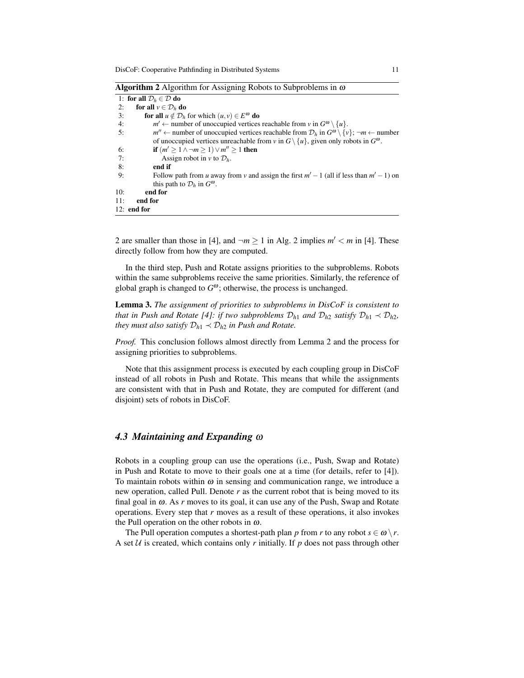**Algorithm 2** Algorithm for Assigning Robots to Subproblems in  $\omega$ 

|     | 1: for all $\mathcal{D}_h \in \mathcal{D}$ do                                                                                           |
|-----|-----------------------------------------------------------------------------------------------------------------------------------------|
| 2:  | for all $v \in \mathcal{D}_h$ do                                                                                                        |
| 3:  | <b>for all</b> $u \notin \mathcal{D}_h$ for which $(u, v) \in E^{\omega}$ <b>do</b>                                                     |
| 4:  | $m' \leftarrow$ number of unoccupied vertices reachable from v in $G^{\omega} \setminus \{u\}.$                                         |
| 5:  | $m'' \leftarrow$ number of unoccupied vertices reachable from $\mathcal{D}_h$ in $G^{\omega} \setminus \{v\}; \neg m \leftarrow$ number |
|     | of unoccupied vertices unreachable from v in $G \setminus \{u\}$ , given only robots in $G^{\omega}$ .                                  |
| 6:  | if $(m' > 1 \land \neg m > 1) \lor m'' > 1$ then                                                                                        |
| 7:  | Assign robot in $\nu$ to $\mathcal{D}_h$ .                                                                                              |
| -8: | end if                                                                                                                                  |
| 9:  | Follow path from u away from v and assign the first $m' - 1$ (all if less than $m' - 1$ ) on                                            |
|     | this path to $\mathcal{D}_h$ in $G^{\omega}$ .                                                                                          |
| 10: | end for                                                                                                                                 |
| 11: | end for                                                                                                                                 |
|     | $12:$ end for                                                                                                                           |
|     |                                                                                                                                         |

2 are smaller than those in [4], and  $\neg m \ge 1$  in Alg. 2 implies  $m' < m$  in [4]. These directly follow from how they are computed.

In the third step, Push and Rotate assigns priorities to the subproblems. Robots within the same subproblems receive the same priorities. Similarly, the reference of global graph is changed to  $G^{\omega}$ ; otherwise, the process is unchanged.

Lemma 3. *The assignment of priorities to subproblems in DisCoF is consistent to that in Push and Rotate [4]: if two subproblems*  $D_{h1}$  *<i>and*  $D_{h2}$  *satisfy*  $D_{h1} \prec D_{h2}$ *, they must also satisfy*  $\mathcal{D}_{h1} \prec \mathcal{D}_{h2}$  *in Push and Rotate.* 

*Proof.* This conclusion follows almost directly from Lemma 2 and the process for assigning priorities to subproblems.

Note that this assignment process is executed by each coupling group in DisCoF instead of all robots in Push and Rotate. This means that while the assignments are consistent with that in Push and Rotate, they are computed for different (and disjoint) sets of robots in DisCoF.

#### *4.3 Maintaining and Expanding* ω

Robots in a coupling group can use the operations (i.e., Push, Swap and Rotate) in Push and Rotate to move to their goals one at a time (for details, refer to [4]). To maintain robots within  $\omega$  in sensing and communication range, we introduce a new operation, called Pull. Denote  $r$  as the current robot that is being moved to its final goal in ω. As *r* moves to its goal, it can use any of the Push, Swap and Rotate operations. Every step that *r* moves as a result of these operations, it also invokes the Pull operation on the other robots in  $\omega$ .

The Pull operation computes a shortest-path plan *p* from *r* to any robot  $s \in \omega \setminus r$ . A set  $U$  is created, which contains only  $r$  initially. If  $p$  does not pass through other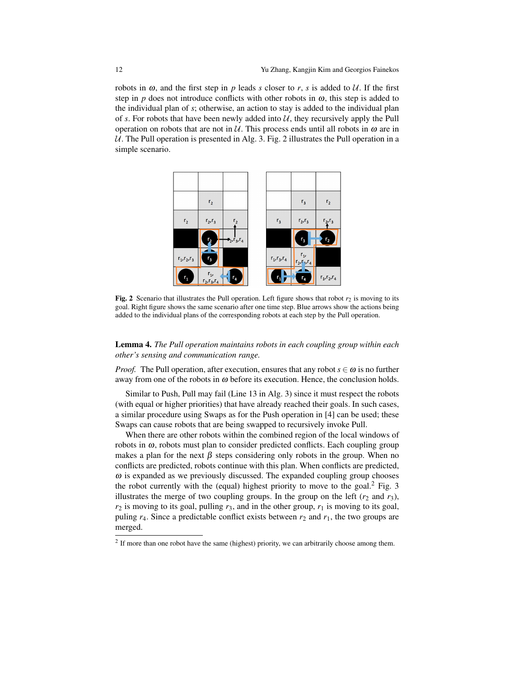robots in  $\omega$ , and the first step in p leads *s* closer to r, *s* is added to U. If the first step in  $p$  does not introduce conflicts with other robots in  $\omega$ , this step is added to the individual plan of *s*; otherwise, an action to stay is added to the individual plan of  $s$ . For robots that have been newly added into  $U$ , they recursively apply the Pull operation on robots that are not in  $\mathcal{U}$ . This process ends until all robots in  $\omega$  are in U. The Pull operation is presented in Alg. 3. Fig. 2 illustrates the Pull operation in a simple scenario.



Fig. 2 Scenario that illustrates the Pull operation. Left figure shows that robot  $r_2$  is moving to its goal. Right figure shows the same scenario after one time step. Blue arrows show the actions being added to the individual plans of the corresponding robots at each step by the Pull operation.

Lemma 4. *The Pull operation maintains robots in each coupling group within each other's sensing and communication range.*

*Proof.* The Pull operation, after execution, ensures that any robot  $s \in \omega$  is no further away from one of the robots in  $\omega$  before its execution. Hence, the conclusion holds.

Similar to Push, Pull may fail (Line 13 in Alg. 3) since it must respect the robots (with equal or higher priorities) that have already reached their goals. In such cases, a similar procedure using Swaps as for the Push operation in [4] can be used; these Swaps can cause robots that are being swapped to recursively invoke Pull.

When there are other robots within the combined region of the local windows of robots in  $\omega$ , robots must plan to consider predicted conflicts. Each coupling group makes a plan for the next  $\beta$  steps considering only robots in the group. When no conflicts are predicted, robots continue with this plan. When conflicts are predicted,  $\omega$  is expanded as we previously discussed. The expanded coupling group chooses the robot currently with the (equal) highest priority to move to the goal.<sup>2</sup> Fig. 3 illustrates the merge of two coupling groups. In the group on the left  $(r_2 \text{ and } r_3)$ ,  $r_2$  is moving to its goal, pulling  $r_3$ , and in the other group,  $r_1$  is moving to its goal, puling  $r_4$ . Since a predictable conflict exists between  $r_2$  and  $r_1$ , the two groups are merged.

 $2<sup>2</sup>$  If more than one robot have the same (highest) priority, we can arbitrarily choose among them.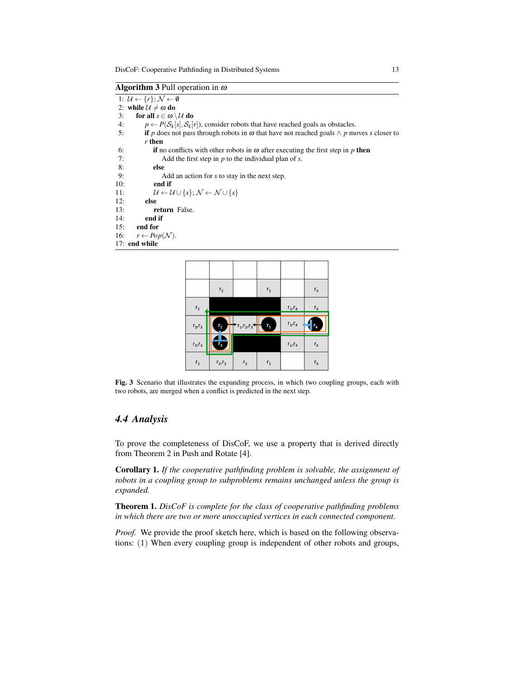DisCoF: Cooperative Pathfinding in Distributed Systems 13

Algorithm 3 Pull operation in  $\omega$ 

|     | 1: $\mathcal{U} \leftarrow \{r\}; \mathcal{N} \leftarrow \emptyset$                                           |
|-----|---------------------------------------------------------------------------------------------------------------|
|     | 2: while $\mathcal{U} \neq \omega$ do                                                                         |
| 3:  | for all $s \in \omega \setminus \mathcal{U}$ do                                                               |
| 4:  | $p \leftarrow P(S_k[s], S_k[r])$ , consider robots that have reached goals as obstacles.                      |
| 5:  | <b>if</b> p does not pass through robots in $\omega$ that have not reached goals $\wedge$ p moves s closer to |
|     | $r$ then                                                                                                      |
| 6:  | if no conflicts with other robots in $\omega$ after executing the first step in p then                        |
| 7:  | Add the first step in $p$ to the individual plan of $s$ .                                                     |
| 8:  | else                                                                                                          |
| 9:  | Add an action for $s$ to stay in the next step.                                                               |
| 10: | end if                                                                                                        |
| 11: | $\mathcal{U} \leftarrow \mathcal{U} \cup \{s\}; \mathcal{N} \leftarrow \mathcal{N} \cup \{s\}$                |
| 12: | else                                                                                                          |
| 13: | return False.                                                                                                 |
| 14: | end if                                                                                                        |
| 15: | end for                                                                                                       |
| 16: | $r \leftarrow Pop(\mathcal{N}).$                                                                              |
|     | 17: end while                                                                                                 |



Fig. 3 Scenario that illustrates the expanding process, in which two coupling groups, each with two robots, are merged when a conflict is predicted in the next step.

## *4.4 Analysis*

To prove the completeness of DisCoF, we use a property that is derived directly from Theorem 2 in Push and Rotate [4].

Corollary 1. *If the cooperative pathfinding problem is solvable, the assignment of robots in a coupling group to subproblems remains unchanged unless the group is expanded.*

Theorem 1. *DisCoF is complete for the class of cooperative pathfinding problems in which there are two or more unoccupied vertices in each connected component.*

*Proof.* We provide the proof sketch here, which is based on the following observations: (1) When every coupling group is independent of other robots and groups,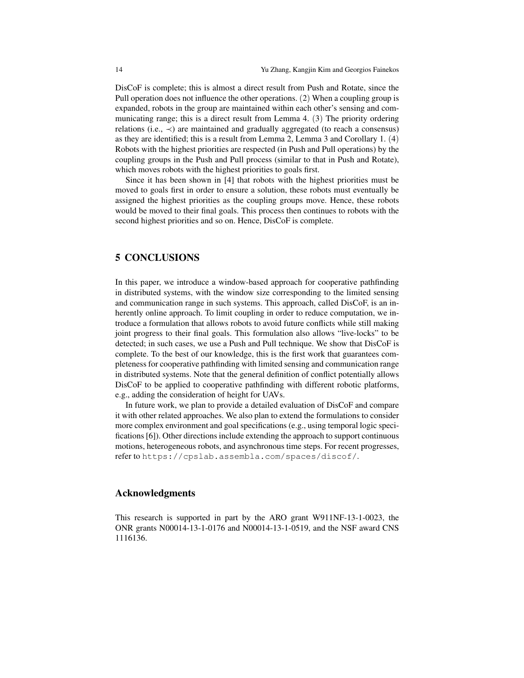DisCoF is complete; this is almost a direct result from Push and Rotate, since the Pull operation does not influence the other operations. (2) When a coupling group is expanded, robots in the group are maintained within each other's sensing and communicating range; this is a direct result from Lemma 4. (3) The priority ordering relations (i.e.,  $\prec$ ) are maintained and gradually aggregated (to reach a consensus) as they are identified; this is a result from Lemma 2, Lemma 3 and Corollary 1. (4) Robots with the highest priorities are respected (in Push and Pull operations) by the coupling groups in the Push and Pull process (similar to that in Push and Rotate), which moves robots with the highest priorities to goals first.

Since it has been shown in [4] that robots with the highest priorities must be moved to goals first in order to ensure a solution, these robots must eventually be assigned the highest priorities as the coupling groups move. Hence, these robots would be moved to their final goals. This process then continues to robots with the second highest priorities and so on. Hence, DisCoF is complete.

## 5 CONCLUSIONS

In this paper, we introduce a window-based approach for cooperative pathfinding in distributed systems, with the window size corresponding to the limited sensing and communication range in such systems. This approach, called DisCoF, is an inherently online approach. To limit coupling in order to reduce computation, we introduce a formulation that allows robots to avoid future conflicts while still making joint progress to their final goals. This formulation also allows "live-locks" to be detected; in such cases, we use a Push and Pull technique. We show that DisCoF is complete. To the best of our knowledge, this is the first work that guarantees completeness for cooperative pathfinding with limited sensing and communication range in distributed systems. Note that the general definition of conflict potentially allows DisCoF to be applied to cooperative pathfinding with different robotic platforms, e.g., adding the consideration of height for UAVs.

In future work, we plan to provide a detailed evaluation of DisCoF and compare it with other related approaches. We also plan to extend the formulations to consider more complex environment and goal specifications (e.g., using temporal logic specifications [6]). Other directions include extending the approach to support continuous motions, heterogeneous robots, and asynchronous time steps. For recent progresses, refer to https://cpslab.assembla.com/spaces/discof/.

#### Acknowledgments

This research is supported in part by the ARO grant W911NF-13-1-0023, the ONR grants N00014-13-1-0176 and N00014-13-1-0519, and the NSF award CNS 1116136.